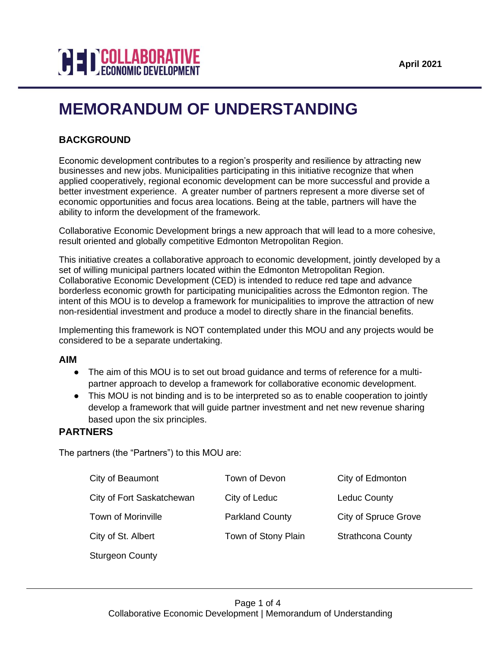

# **MEMORANDUM OF UNDERSTANDING**

## **BACKGROUND**

Economic development contributes to a region's prosperity and resilience by attracting new businesses and new jobs. Municipalities participating in this initiative recognize that when applied cooperatively, regional economic development can be more successful and provide a better investment experience. A greater number of partners represent a more diverse set of economic opportunities and focus area locations. Being at the table, partners will have the ability to inform the development of the framework.

Collaborative Economic Development brings a new approach that will lead to a more cohesive, result oriented and globally competitive Edmonton Metropolitan Region.

This initiative creates a collaborative approach to economic development, jointly developed by a set of willing municipal partners located within the Edmonton Metropolitan Region. Collaborative Economic Development (CED) is intended to reduce red tape and advance borderless economic growth for participating municipalities across the Edmonton region. The intent of this MOU is to develop a framework for municipalities to improve the attraction of new non-residential investment and produce a model to directly share in the financial benefits.

Implementing this framework is NOT contemplated under this MOU and any projects would be considered to be a separate undertaking.

#### **AIM**

- The aim of this MOU is to set out broad guidance and terms of reference for a multipartner approach to develop a framework for collaborative economic development.
- This MOU is not binding and is to be interpreted so as to enable cooperation to jointly develop a framework that will guide partner investment and net new revenue sharing based upon the six principles.

#### **PARTNERS**

The partners (the "Partners") to this MOU are:

| City of Beaumont          | Town of Devon          | City of Edmonton         |
|---------------------------|------------------------|--------------------------|
| City of Fort Saskatchewan | City of Leduc          | <b>Leduc County</b>      |
| Town of Morinville        | <b>Parkland County</b> | City of Spruce Grove     |
| City of St. Albert        | Town of Stony Plain    | <b>Strathcona County</b> |
| <b>Sturgeon County</b>    |                        |                          |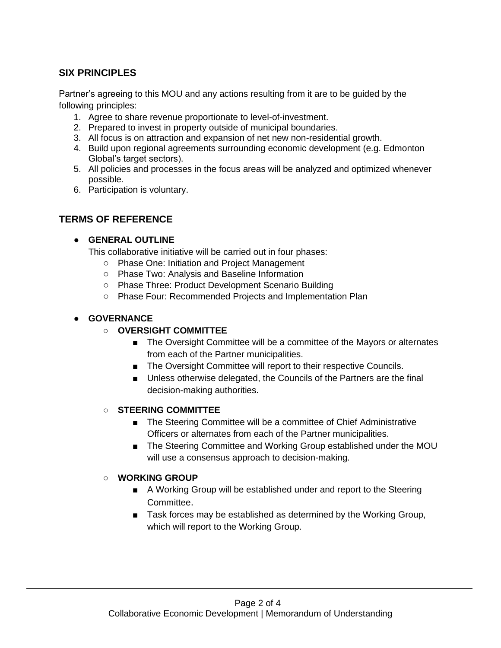## **SIX PRINCIPLES**

Partner's agreeing to this MOU and any actions resulting from it are to be guided by the following principles:

- 1. Agree to share revenue proportionate to level-of-investment.
- 2. Prepared to invest in property outside of municipal boundaries.
- 3. All focus is on attraction and expansion of net new non-residential growth.
- 4. Build upon regional agreements surrounding economic development (e.g. Edmonton Global's target sectors).
- 5. All policies and processes in the focus areas will be analyzed and optimized whenever possible.
- 6. Participation is voluntary.

## **TERMS OF REFERENCE**

#### ● **GENERAL OUTLINE**

This collaborative initiative will be carried out in four phases:

- Phase One: Initiation and Project Management
- Phase Two: Analysis and Baseline Information
- Phase Three: Product Development Scenario Building
- Phase Four: Recommended Projects and Implementation Plan

#### ● **GOVERNANCE**

#### ○ **OVERSIGHT COMMITTEE**

- The Oversight Committee will be a committee of the Mayors or alternates from each of the Partner municipalities.
- The Oversight Committee will report to their respective Councils.
- Unless otherwise delegated, the Councils of the Partners are the final decision-making authorities.

#### ○ **STEERING COMMITTEE**

- The Steering Committee will be a committee of Chief Administrative Officers or alternates from each of the Partner municipalities.
- The Steering Committee and Working Group established under the MOU will use a consensus approach to decision-making.

#### ○ **WORKING GROUP**

- A Working Group will be established under and report to the Steering Committee.
- Task forces may be established as determined by the Working Group, which will report to the Working Group.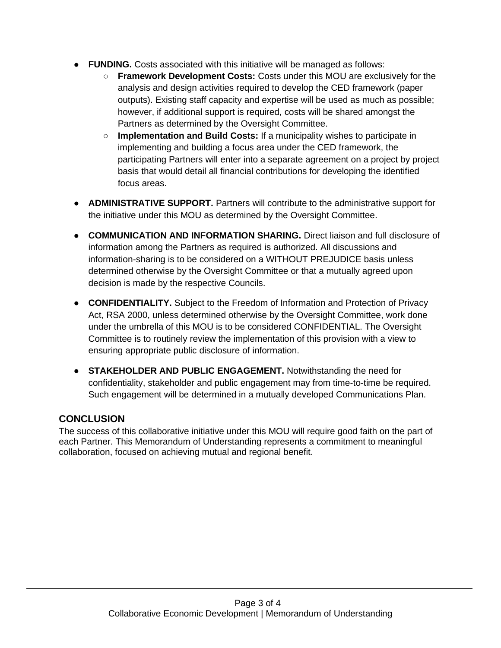- **FUNDING.** Costs associated with this initiative will be managed as follows:
	- **Framework Development Costs:** Costs under this MOU are exclusively for the analysis and design activities required to develop the CED framework (paper outputs). Existing staff capacity and expertise will be used as much as possible; however, if additional support is required, costs will be shared amongst the Partners as determined by the Oversight Committee.
	- **Implementation and Build Costs:** If a municipality wishes to participate in implementing and building a focus area under the CED framework, the participating Partners will enter into a separate agreement on a project by project basis that would detail all financial contributions for developing the identified focus areas.
- **ADMINISTRATIVE SUPPORT.** Partners will contribute to the administrative support for the initiative under this MOU as determined by the Oversight Committee.
- **COMMUNICATION AND INFORMATION SHARING.** Direct liaison and full disclosure of information among the Partners as required is authorized. All discussions and information-sharing is to be considered on a WITHOUT PREJUDICE basis unless determined otherwise by the Oversight Committee or that a mutually agreed upon decision is made by the respective Councils.
- **CONFIDENTIALITY.** Subject to the Freedom of Information and Protection of Privacy Act, RSA 2000, unless determined otherwise by the Oversight Committee, work done under the umbrella of this MOU is to be considered CONFIDENTIAL. The Oversight Committee is to routinely review the implementation of this provision with a view to ensuring appropriate public disclosure of information.
- **STAKEHOLDER AND PUBLIC ENGAGEMENT.** Notwithstanding the need for confidentiality, stakeholder and public engagement may from time-to-time be required. Such engagement will be determined in a mutually developed Communications Plan.

## **CONCLUSION**

The success of this collaborative initiative under this MOU will require good faith on the part of each Partner. This Memorandum of Understanding represents a commitment to meaningful collaboration, focused on achieving mutual and regional benefit.